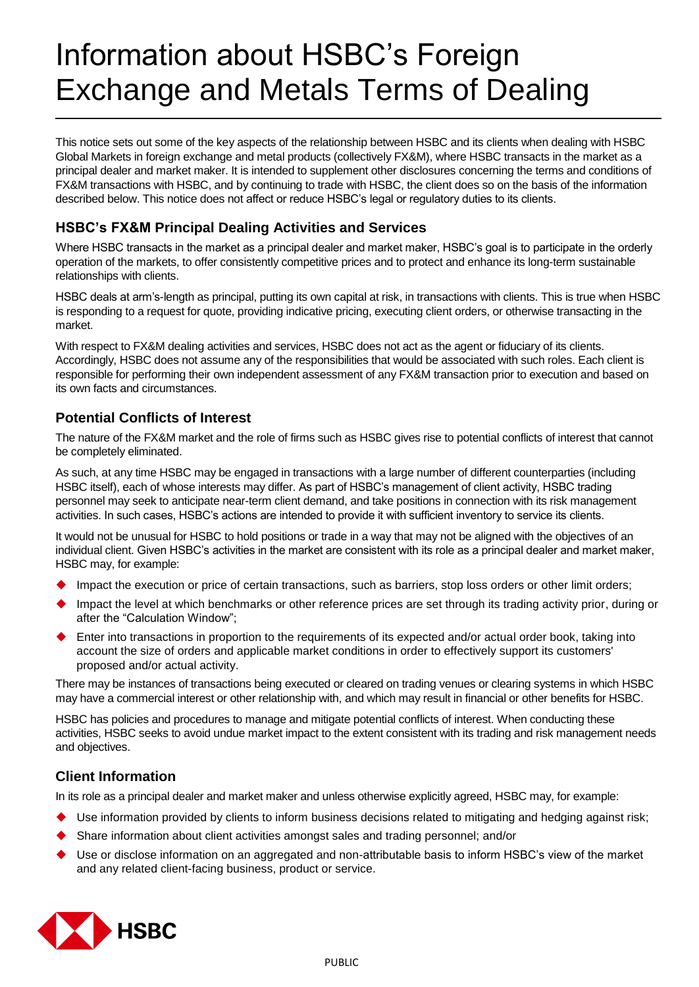# Information about HSBC's Foreign Exchange and Metals Terms of Dealing

This notice sets out some of the key aspects of the relationship between HSBC and its clients when dealing with HSBC Global Markets in foreign exchange and metal products (collectively FX&M), where HSBC transacts in the market as a principal dealer and market maker. It is intended to supplement other disclosures concerning the terms and conditions of FX&M transactions with HSBC, and by continuing to trade with HSBC, the client does so on the basis of the information described below. This notice does not affect or reduce HSBC's legal or regulatory duties to its clients.

## **HSBC's FX&M Principal Dealing Activities and Services**

Where HSBC transacts in the market as a principal dealer and market maker, HSBC's goal is to participate in the orderly operation of the markets, to offer consistently competitive prices and to protect and enhance its long-term sustainable relationships with clients.

HSBC deals at arm's-length as principal, putting its own capital at risk, in transactions with clients. This is true when HSBC is responding to a request for quote, providing indicative pricing, executing client orders, or otherwise transacting in the market.

With respect to FX&M dealing activities and services, HSBC does not act as the agent or fiduciary of its clients. Accordingly, HSBC does not assume any of the responsibilities that would be associated with such roles. Each client is responsible for performing their own independent assessment of any FX&M transaction prior to execution and based on its own facts and circumstances.

### **Potential Conflicts of Interest**

The nature of the FX&M market and the role of firms such as HSBC gives rise to potential conflicts of interest that cannot be completely eliminated.

As such, at any time HSBC may be engaged in transactions with a large number of different counterparties (including HSBC itself), each of whose interests may differ. As part of HSBC's management of client activity, HSBC trading personnel may seek to anticipate near-term client demand, and take positions in connection with its risk management activities. In such cases, HSBC's actions are intended to provide it with sufficient inventory to service its clients.

It would not be unusual for HSBC to hold positions or trade in a way that may not be aligned with the objectives of an individual client. Given HSBC's activities in the market are consistent with its role as a principal dealer and market maker, HSBC may, for example:

- Impact the execution or price of certain transactions, such as barriers, stop loss orders or other limit orders;
- Impact the level at which benchmarks or other reference prices are set through its trading activity prior, during or after the "Calculation Window";
- Enter into transactions in proportion to the requirements of its expected and/or actual order book, taking into account the size of orders and applicable market conditions in order to effectively support its customers' proposed and/or actual activity.

There may be instances of transactions being executed or cleared on trading venues or clearing systems in which HSBC may have a commercial interest or other relationship with, and which may result in financial or other benefits for HSBC.

HSBC has policies and procedures to manage and mitigate potential conflicts of interest. When conducting these activities, HSBC seeks to avoid undue market impact to the extent consistent with its trading and risk management needs and objectives.

## **Client Information**

In its role as a principal dealer and market maker and unless otherwise explicitly agreed, HSBC may, for example:

- Use information provided by clients to inform business decisions related to mitigating and hedging against risk;
- Share information about client activities amongst sales and trading personnel; and/or
- Use or disclose information on an aggregated and non-attributable basis to inform HSBC's view of the market and any related client-facing business, product or service.

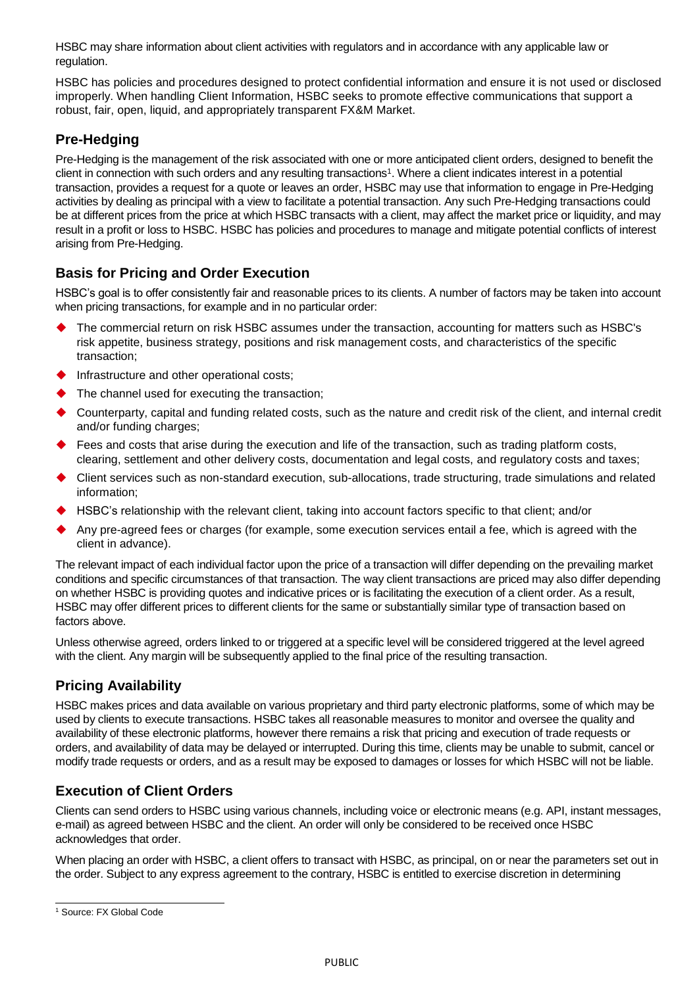HSBC may share information about client activities with regulators and in accordance with any applicable law or regulation.

HSBC has policies and procedures designed to protect confidential information and ensure it is not used or disclosed improperly. When handling Client Information, HSBC seeks to promote effective communications that support a robust, fair, open, liquid, and appropriately transparent FX&M Market.

## **Pre-Hedging**

Pre-Hedging is the management of the risk associated with one or more anticipated client orders, designed to benefit the client in connection with such orders and any resulting transactions<sup>1</sup>. Where a client indicates interest in a potential transaction, provides a request for a quote or leaves an order, HSBC may use that information to engage in Pre-Hedging activities by dealing as principal with a view to facilitate a potential transaction. Any such Pre-Hedging transactions could be at different prices from the price at which HSBC transacts with a client, may affect the market price or liquidity, and may result in a profit or loss to HSBC. HSBC has policies and procedures to manage and mitigate potential conflicts of interest arising from Pre-Hedging.

### **Basis for Pricing and Order Execution**

HSBC's goal is to offer consistently fair and reasonable prices to its clients. A number of factors may be taken into account when pricing transactions, for example and in no particular order:

- The commercial return on risk HSBC assumes under the transaction, accounting for matters such as HSBC's risk appetite, business strategy, positions and risk management costs, and characteristics of the specific transaction;
- Infrastructure and other operational costs;
- The channel used for executing the transaction;
- Counterparty, capital and funding related costs, such as the nature and credit risk of the client, and internal credit and/or funding charges;
- Fees and costs that arise during the execution and life of the transaction, such as trading platform costs, clearing, settlement and other delivery costs, documentation and legal costs, and regulatory costs and taxes;
- Client services such as non-standard execution, sub-allocations, trade structuring, trade simulations and related information;
- HSBC's relationship with the relevant client, taking into account factors specific to that client; and/or
- Any pre-agreed fees or charges (for example, some execution services entail a fee, which is agreed with the client in advance).

The relevant impact of each individual factor upon the price of a transaction will differ depending on the prevailing market conditions and specific circumstances of that transaction. The way client transactions are priced may also differ depending on whether HSBC is providing quotes and indicative prices or is facilitating the execution of a client order. As a result, HSBC may offer different prices to different clients for the same or substantially similar type of transaction based on factors above.

Unless otherwise agreed, orders linked to or triggered at a specific level will be considered triggered at the level agreed with the client. Any margin will be subsequently applied to the final price of the resulting transaction.

## **Pricing Availability**

HSBC makes prices and data available on various proprietary and third party electronic platforms, some of which may be used by clients to execute transactions. HSBC takes all reasonable measures to monitor and oversee the quality and availability of these electronic platforms, however there remains a risk that pricing and execution of trade requests or orders, and availability of data may be delayed or interrupted. During this time, clients may be unable to submit, cancel or modify trade requests or orders, and as a result may be exposed to damages or losses for which HSBC will not be liable.

## **Execution of Client Orders**

Clients can send orders to HSBC using various channels, including voice or electronic means (e.g. API, instant messages, e-mail) as agreed between HSBC and the client. An order will only be considered to be received once HSBC acknowledges that order.

When placing an order with HSBC, a client offers to transact with HSBC, as principal, on or near the parameters set out in the order. Subject to any express agreement to the contrary, HSBC is entitled to exercise discretion in determining

 <sup>1</sup> Source: FX Global Code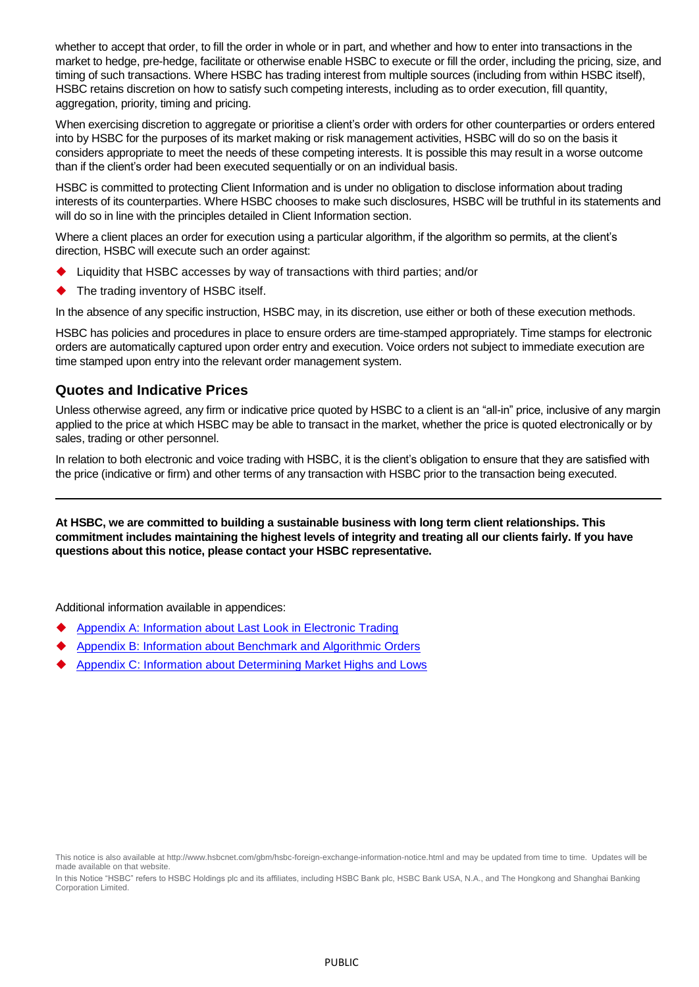whether to accept that order, to fill the order in whole or in part, and whether and how to enter into transactions in the market to hedge, pre-hedge, facilitate or otherwise enable HSBC to execute or fill the order, including the pricing, size, and timing of such transactions. Where HSBC has trading interest from multiple sources (including from within HSBC itself), HSBC retains discretion on how to satisfy such competing interests, including as to order execution, fill quantity, aggregation, priority, timing and pricing.

When exercising discretion to aggregate or prioritise a client's order with orders for other counterparties or orders entered into by HSBC for the purposes of its market making or risk management activities, HSBC will do so on the basis it considers appropriate to meet the needs of these competing interests. It is possible this may result in a worse outcome than if the client's order had been executed sequentially or on an individual basis.

HSBC is committed to protecting Client Information and is under no obligation to disclose information about trading interests of its counterparties. Where HSBC chooses to make such disclosures, HSBC will be truthful in its statements and will do so in line with the principles detailed in Client Information section.

Where a client places an order for execution using a particular algorithm, if the algorithm so permits, at the client's direction, HSBC will execute such an order against:

- Liquidity that HSBC accesses by way of transactions with third parties; and/or
- The trading inventory of HSBC itself.

In the absence of any specific instruction, HSBC may, in its discretion, use either or both of these execution methods.

HSBC has policies and procedures in place to ensure orders are time-stamped appropriately. Time stamps for electronic orders are automatically captured upon order entry and execution. Voice orders not subject to immediate execution are time stamped upon entry into the relevant order management system.

#### **Quotes and Indicative Prices**

Unless otherwise agreed, any firm or indicative price quoted by HSBC to a client is an "all-in" price, inclusive of any margin applied to the price at which HSBC may be able to transact in the market, whether the price is quoted electronically or by sales, trading or other personnel.

In relation to both electronic and voice trading with HSBC, it is the client's obligation to ensure that they are satisfied with the price (indicative or firm) and other terms of any transaction with HSBC prior to the transaction being executed.

**At HSBC, we are committed to building a sustainable business with long term client relationships. This commitment includes maintaining the highest levels of integrity and treating all our clients fairly. If you have questions about this notice, please contact your HSBC representative.**

Additional information available in appendices:

- [Appendix A: Information about Last Look in Electronic Trading](#page-3-0)
- [Appendix B: Information about Benchmark and Algorithmic Orders](#page-4-0)
- [Appendix C: Information about Determining Market Highs and Lows](#page-5-0)

In this Notice "HSBC" refers to HSBC Holdings plc and its affiliates, including HSBC Bank plc, HSBC Bank USA, N.A., and The Hongkong and Shanghai Banking Corporation Limited.

This notice is also available a[t http://www.hsbcnet.com/gbm/hsbc-foreign-exchange-information-notice.html](http://www.hsbcnet.com/gbm/hsbc-foreign-exchange-information-notice.html) and may be updated from time to time. Updates will be made available on that website.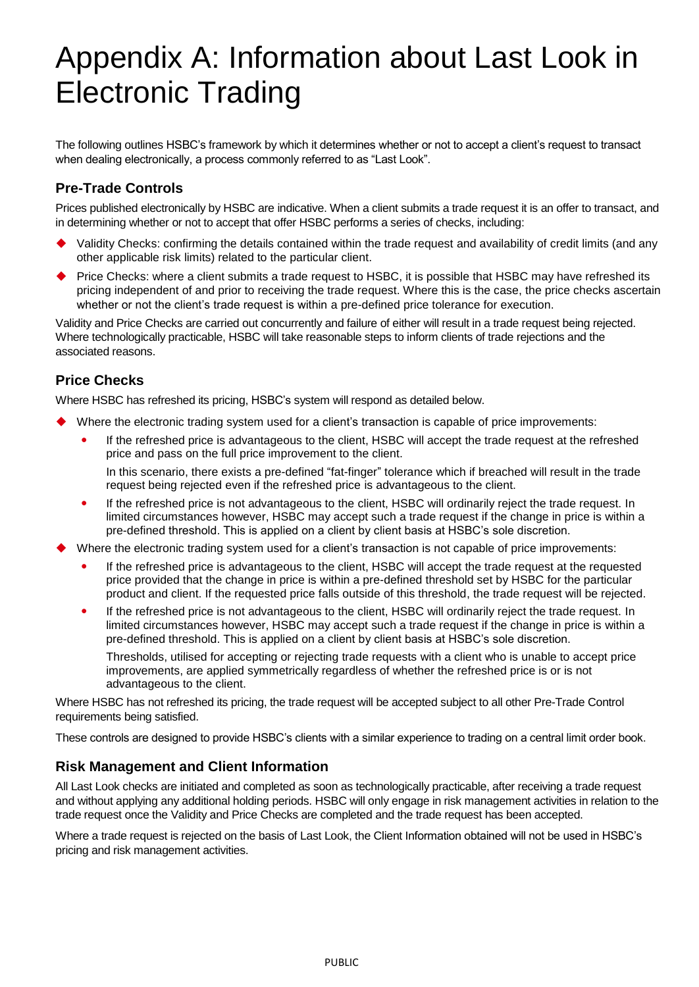# <span id="page-3-0"></span>Appendix A: Information about Last Look in Electronic Trading

The following outlines HSBC's framework by which it determines whether or not to accept a client's request to transact when dealing electronically, a process commonly referred to as "Last Look".

## **Pre-Trade Controls**

Prices published electronically by HSBC are indicative. When a client submits a trade request it is an offer to transact, and in determining whether or not to accept that offer HSBC performs a series of checks, including:

- Validity Checks: confirming the details contained within the trade request and availability of credit limits (and any other applicable risk limits) related to the particular client.
- Price Checks: where a client submits a trade request to HSBC, it is possible that HSBC may have refreshed its pricing independent of and prior to receiving the trade request. Where this is the case, the price checks ascertain whether or not the client's trade request is within a pre-defined price tolerance for execution.

Validity and Price Checks are carried out concurrently and failure of either will result in a trade request being rejected. Where technologically practicable, HSBC will take reasonable steps to inform clients of trade rejections and the associated reasons.

## **Price Checks**

Where HSBC has refreshed its pricing, HSBC's system will respond as detailed below.

- Where the electronic trading system used for a client's transaction is capable of price improvements:
	- If the refreshed price is advantageous to the client, HSBC will accept the trade request at the refreshed price and pass on the full price improvement to the client.

In this scenario, there exists a pre-defined "fat-finger" tolerance which if breached will result in the trade request being rejected even if the refreshed price is advantageous to the client.

- If the refreshed price is not advantageous to the client, HSBC will ordinarily reject the trade request. In limited circumstances however, HSBC may accept such a trade request if the change in price is within a pre-defined threshold. This is applied on a client by client basis at HSBC's sole discretion.
- Where the electronic trading system used for a client's transaction is not capable of price improvements:
	- If the refreshed price is advantageous to the client, HSBC will accept the trade request at the requested price provided that the change in price is within a pre-defined threshold set by HSBC for the particular product and client. If the requested price falls outside of this threshold, the trade request will be rejected.
	- If the refreshed price is not advantageous to the client, HSBC will ordinarily reject the trade request. In limited circumstances however, HSBC may accept such a trade request if the change in price is within a pre-defined threshold. This is applied on a client by client basis at HSBC's sole discretion.

Thresholds, utilised for accepting or rejecting trade requests with a client who is unable to accept price improvements, are applied symmetrically regardless of whether the refreshed price is or is not advantageous to the client.

Where HSBC has not refreshed its pricing, the trade request will be accepted subject to all other Pre-Trade Control requirements being satisfied.

These controls are designed to provide HSBC's clients with a similar experience to trading on a central limit order book.

#### **Risk Management and Client Information**

All Last Look checks are initiated and completed as soon as technologically practicable, after receiving a trade request and without applying any additional holding periods. HSBC will only engage in risk management activities in relation to the trade request once the Validity and Price Checks are completed and the trade request has been accepted.

Where a trade request is rejected on the basis of Last Look, the Client Information obtained will not be used in HSBC's pricing and risk management activities.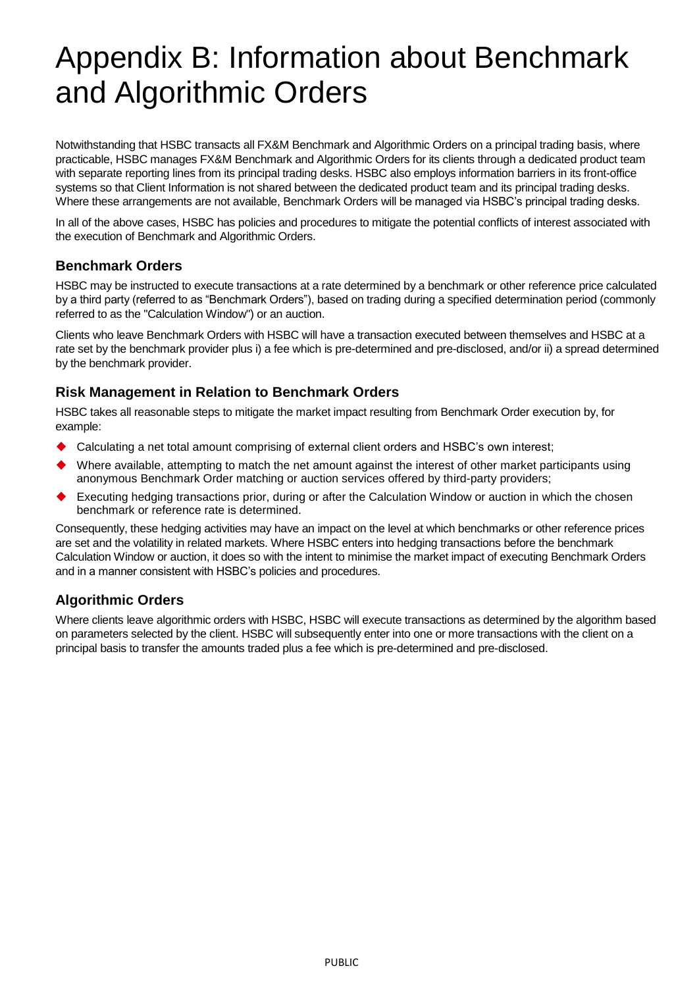# <span id="page-4-0"></span>Appendix B: Information about Benchmark and Algorithmic Orders

Notwithstanding that HSBC transacts all FX&M Benchmark and Algorithmic Orders on a principal trading basis, where practicable, HSBC manages FX&M Benchmark and Algorithmic Orders for its clients through a dedicated product team with separate reporting lines from its principal trading desks. HSBC also employs information barriers in its front-office systems so that Client Information is not shared between the dedicated product team and its principal trading desks. Where these arrangements are not available, Benchmark Orders will be managed via HSBC's principal trading desks.

In all of the above cases, HSBC has policies and procedures to mitigate the potential conflicts of interest associated with the execution of Benchmark and Algorithmic Orders.

#### **Benchmark Orders**

HSBC may be instructed to execute transactions at a rate determined by a benchmark or other reference price calculated by a third party (referred to as "Benchmark Orders"), based on trading during a specified determination period (commonly referred to as the "Calculation Window") or an auction.

Clients who leave Benchmark Orders with HSBC will have a transaction executed between themselves and HSBC at a rate set by the benchmark provider plus i) a fee which is pre-determined and pre-disclosed, and/or ii) a spread determined by the benchmark provider.

### **Risk Management in Relation to Benchmark Orders**

HSBC takes all reasonable steps to mitigate the market impact resulting from Benchmark Order execution by, for example:

- Calculating a net total amount comprising of external client orders and HSBC's own interest;
- Where available, attempting to match the net amount against the interest of other market participants using anonymous Benchmark Order matching or auction services offered by third-party providers;
- Executing hedging transactions prior, during or after the Calculation Window or auction in which the chosen benchmark or reference rate is determined.

Consequently, these hedging activities may have an impact on the level at which benchmarks or other reference prices are set and the volatility in related markets. Where HSBC enters into hedging transactions before the benchmark Calculation Window or auction, it does so with the intent to minimise the market impact of executing Benchmark Orders and in a manner consistent with HSBC's policies and procedures.

## **Algorithmic Orders**

Where clients leave algorithmic orders with HSBC, HSBC will execute transactions as determined by the algorithm based on parameters selected by the client. HSBC will subsequently enter into one or more transactions with the client on a principal basis to transfer the amounts traded plus a fee which is pre-determined and pre-disclosed.